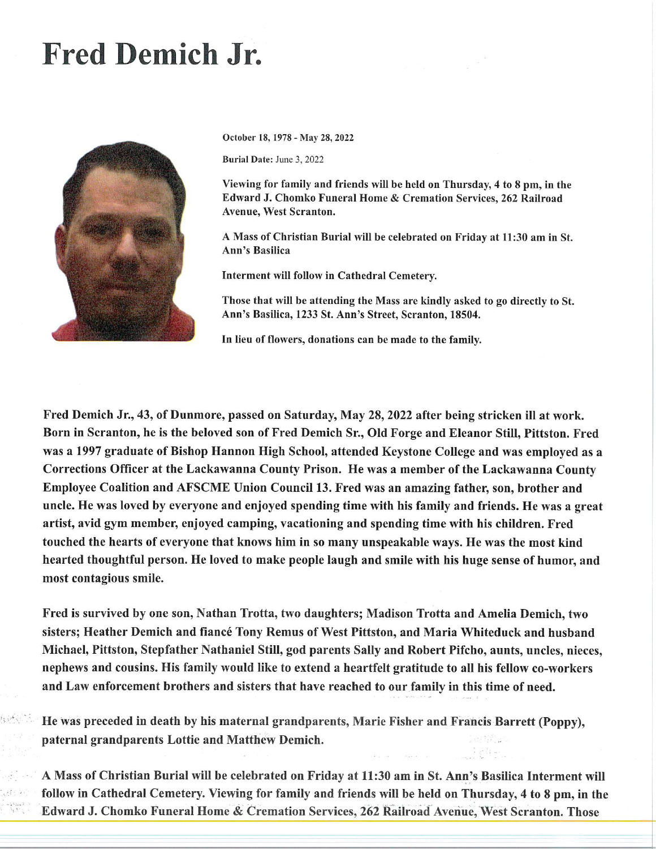## Fred Demich Jr.



October 18, 1978 - May 28, 2022

Burial Date: June 3, 2022

Viewing for family and friends will be held on Thursday, 4 to 8 pm, in the Edward J. Chomko Funeral Home & Cremation Services, 262 Railroad Avenue, West Scranton.

A Mass of Christian Burial will be celebrated on Friday at 11:30 am in St. Ann's Basilica

Interment wtll follow in Cathedral Cemetery.

Those that will be attending the Mass are kindly asked to go directly to St. Ann's Basilica, 1233 St. Ann's Street, Scranton, 18504.

In lieu of flowers, donations can be made to the family.

Fred Demich Jr., 43, of Dunmore, passed on Saturday, May 28, 2022 after being stricken il} at work. Born in Scranton, he is the beloved son of Fred Demich Sr., Old Forge and Eleanor Still, Pittston. Fred was a 1997 graduate of Bishop Hannon High School, attended Keystone College and was employed as a Corrections Officer at the Lackawanna County Prison. He was a member of the Lackawanna County Employee Coalition and AFSCME Union Council 13. Fred was an amazing father, son, brother and uncle. He was loved by everyone and enjoyed spending time with his family and friends. He was a great artist, avid gym member, enjoyed camping, vacationing and spending time with his children. Fred touched the hearts of everyone that knows him in so many unspeakable ways. He was the most kind hearted thoughtful person. He loved to make people laugh and smile with his huge sense of humor, and most contagious smile.

Fred is survived by one son, Nathan Trotta, two daughters; Madison Trotta and Amelia Demich, two sisters; Heather Demich and fiancé Tony Remus of West Pittston, and Maria Whiteduck and husband Michael, Pittston, Stepfather Nathaniel Still, god parents Sally and Robert Pifcho, aunts, uncles, nieces, nephews and cousins. His family would like to extend a heartfelt gratitude to all his fellow co-workers and Law enforcement brothers and sisters that have reached to our family in this time of need.

He was preceded in death by his maternal grandparents, Marie Fisher and Francis Barrett (Poppy), paternal grandparents Lottie and Matthew Demich.

AMassofChristianBurialwillbecelebratedonFridayatll:30aminSt.Ann'sBasilicaIntermentwill follow in Cathedral Cemetery. Viewing for family and friends will be held on Thursday, 4 to 8 pm, in the Edward J. Chomko Funeral Home & Cremation Services, 262 Railroad Avenue, West Scranton. Those